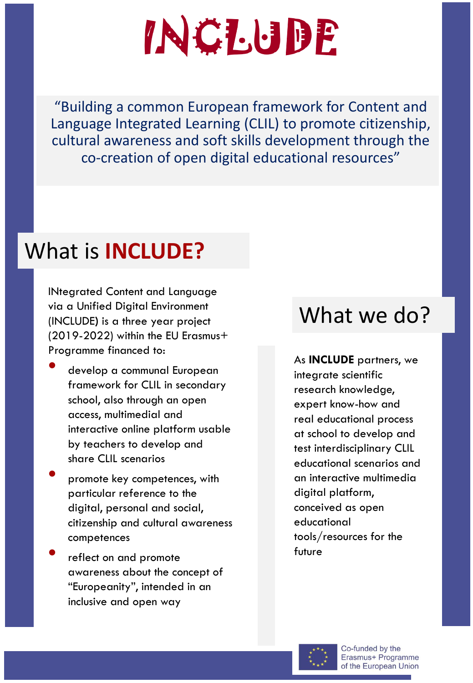## **INCLUDE**

"Building a common European framework for Content and Language Integrated Learning (CLIL) to promote citizenship, cultural awareness and soft skills development through the co-creation of open digital educational resources"

### What is **INCLUDE?**

INtegrated Content and Language via a Unified Digital Environment (INCLUDE**)** is a three year project (2019-2022) within the EU Erasmus+ Programme financed to:

- develop a communal European framework for CLIL in secondary school, also through an open access, multimedial and interactive online platform usable by teachers to develop and share CLIL scenarios
- promote key competences, with particular reference to the digital, personal and social, citizenship and cultural awareness competences
- reflect on and promote awareness about the concept of "Europeanity", intended in an inclusive and open way

#### What we do?

As **INCLUDE** partners, we integrate scientific research knowledge, expert know-how and real educational process at school to develop and test interdisciplinary CLIL educational scenarios and an interactive multimedia digital platform, conceived as open educational tools/resources for the future